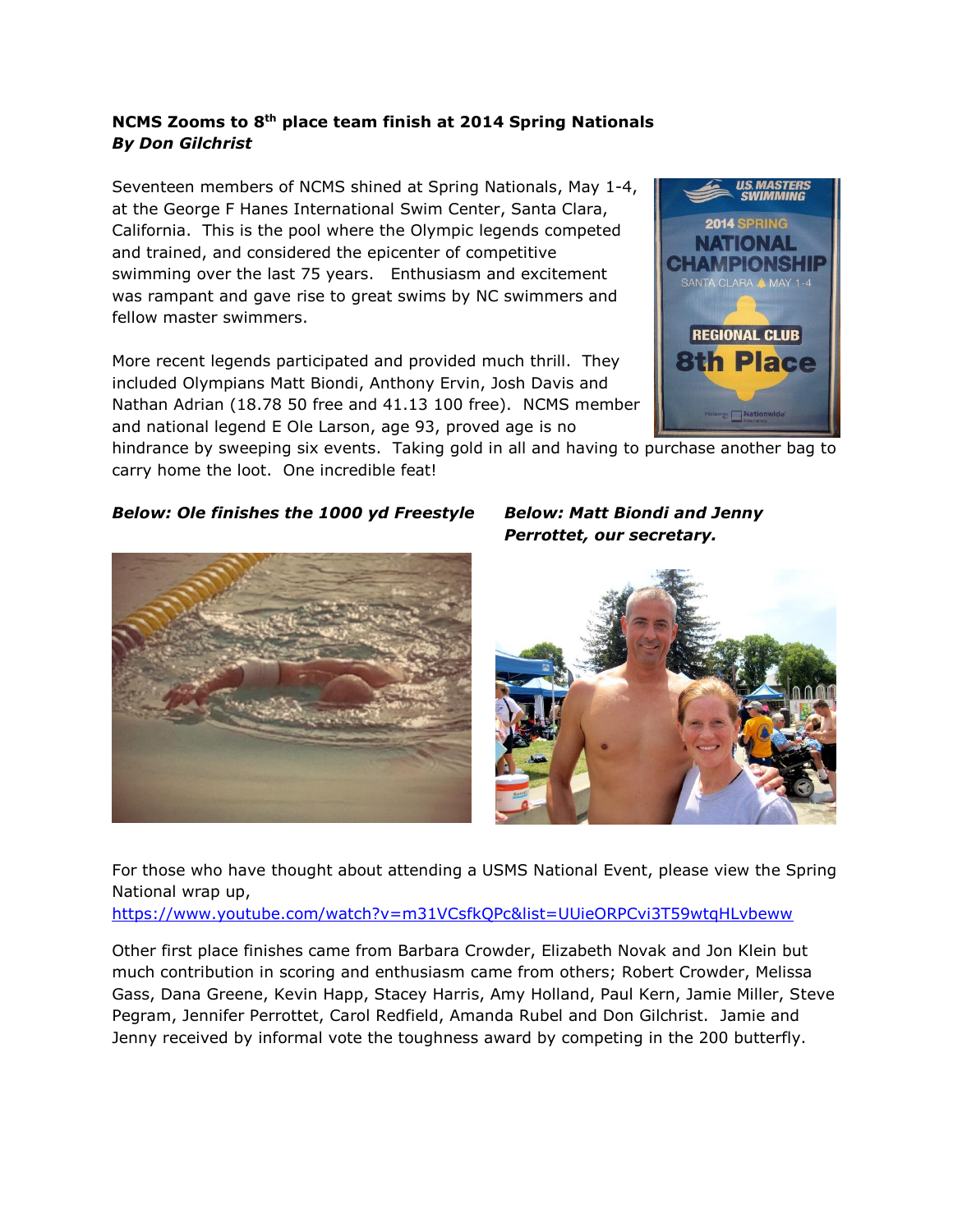## **NCMS Zooms to 8th place team finish at 2014 Spring Nationals** *By Don Gilchrist*

Seventeen members of NCMS shined at Spring Nationals, May 1-4, at the George F Hanes International Swim Center, Santa Clara, California. This is the pool where the Olympic legends competed and trained, and considered the epicenter of competitive swimming over the last 75 years. Enthusiasm and excitement was rampant and gave rise to great swims by NC swimmers and fellow master swimmers.

More recent legends participated and provided much thrill. They included Olympians Matt Biondi, Anthony Ervin, Josh Davis and Nathan Adrian (18.78 50 free and 41.13 100 free). NCMS member and national legend E Ole Larson, age 93, proved age is no



2014 SPRING

hindrance by sweeping six events. Taking gold in all and having to purchase another bag to carry home the loot. One incredible feat!

## *Below: Ole finishes the 1000 yd Freestyle Below: Matt Biondi and Jenny*

*Perrottet, our secretary.* 





For those who have thought about attending a USMS National Event, please view the Spring National wrap up,

<https://www.youtube.com/watch?v=m31VCsfkQPc&list=UUieORPCvi3T59wtqHLvbeww>

Other first place finishes came from Barbara Crowder, Elizabeth Novak and Jon Klein but much contribution in scoring and enthusiasm came from others; Robert Crowder, Melissa Gass, Dana Greene, Kevin Happ, Stacey Harris, Amy Holland, Paul Kern, Jamie Miller, Steve Pegram, Jennifer Perrottet, Carol Redfield, Amanda Rubel and Don Gilchrist. Jamie and Jenny received by informal vote the toughness award by competing in the 200 butterfly.